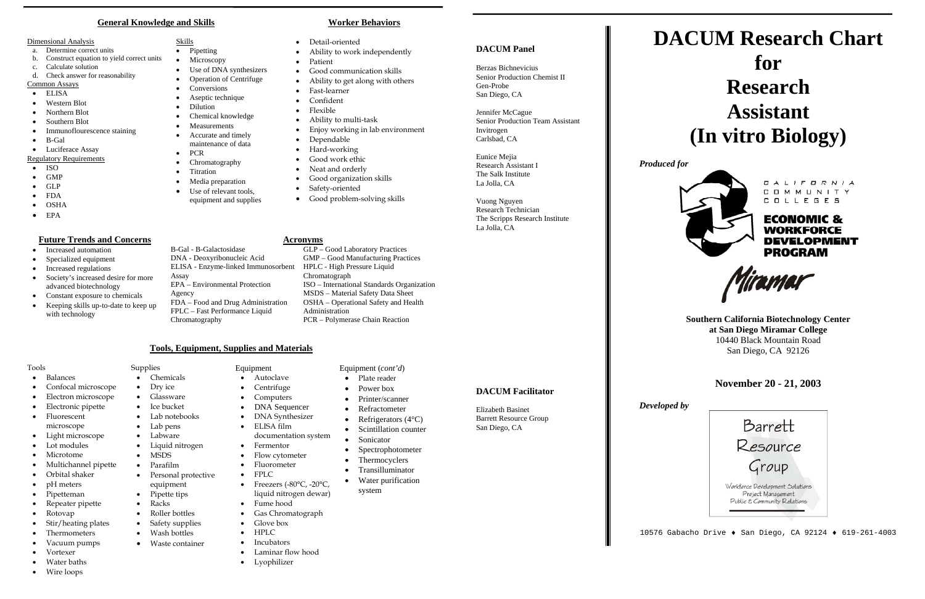• Detail-oriented

• Ability t o work independently

• Patient

• Good communication skills • Ability t o get along wit h others

• Fast-learner • Confident • Flexible

• Ability t o multi-task

• Enjoy working in lab environment

• Dependable • Hard-working • Good work ethic Neat and orderly • Good organization skills

• Safet y-oriented

• Good problem-solving skills

## **General Knowledge and Skills Theory and Skills Worker Behaviors**

#### Di mensional Anal ysis

- a. Determine correct units
- b. Construct equation to yield correct units
- c. Calculate solution
- d. Check answer for reasonability
- Pipetting
- Microscopy
- Use of DNA synthesizers
- Operation of Centrifuge
- Conversions
- Aseptic technique
- Dilution
- Chemical knowledge
- Measurements • Accurate and timely maintenance of data
- PCR
- C hromatography
- Titration
- Media preparation
- Use of relevant tools, equipment and supplies
- **Acronyms**

#### Common Assays • ELISA

- 
- Western Blot
- Northern Blot
- Southern Blot
- Immunoflourescence staining
- B-Gal

#### • Luciferace Assay Regulatory Requirements

- ISO
- GMP
- GLP
- 
- FDA • OSHA
- EPA
- 

# Skills

### **Future Trends and Concerns**

- Increased automation
- Specialized equipment
- Increased regulations
- Society's increased desire for more advanced biotechnology
- Constant exposure to chemicals
- Keeping skills up-to-date to keep up with technology

B-Gal - B-Galactosidase DNA - Deoxyribonucleic Aci d ELISA - Enzy me-linked Immunosorbent Assay EPA – Environmental Protection Agency FDA – Food and Drug Administration FPLC – Fast Performance Liquid C hromatography

#### GLP – Good Laboratory Practices GMP – Good Manufacturing Practices HPLC - High Pressure Liquid C hromatograph ISO – International Standards Organization MSDS – Material Safety Data Sheet OSHA – Operatio nal Safety an d Health Administration PCR – Polymerase Chain Reactio n

# **Tools, Equipment, Supplies and Materials**

#### Tools

- Balances
- Confocal microscope
- Electron microscope
- Electronic pipette
- Fluorescent microscope
- Light microscope
- Lot modules
- Microtome
- Multichannel pipette
- Orbital shaker
- pH meters
- Pipetteman
- Repeater pipette
- Rotovap
- Stir/heating plates
- Thermometers
- Vacuum pumps
- Vortexer
- Water baths
- Wire loops

Equipment

- Supplies • Chemicals
- Dry ice • Glassware
- Ice bucket
- Lab notebooks
- Lab pens
- Labware
- Liquid nitrogen
- MSDS
- Parafilm
- Personal protective
- equipment
- Pipette tips
- Racks
- Roller bottles
- Safety supplies
- Wash bottles
- Waste container
- **Incubators** • Laminar flow hood

• Autoclave • Centrifuge • Computers

> • DNA Sequencer • DNA Synthesizer

• ELISA film

documentation system

• Fermentor • Flow cytometer • Fluorometer • FPLC

> • Freezers (-80°C, -20°C, liquid nitrogen dewar)

• Fume hood

• Gas Chromatogra ph

• Glove box • HPLC

• Lyophilizer

# Equipment (*cont'd*)

- Plate reader
- Power box
- Printer/scanner
- **Refractometer**
- Refrigerators  $(4^{\circ}C)$ 
	- Scintillation counter
	- **Sonicator**
	- Spectrophotometer
- Thermocyclers
- Transilluminator
- Water purification system

**DACUM Panel** 

Berzas Bichnevicius

Senior Production Chemist II

Gen-Probe San Diego, C A

Jennifer McCague

Senior Production Team Assistant

Invitrogen Carlsbad, CA

Eunice Mejia Research Assistant I The Salk Institute La Jolla, CA

Vuong Nguyen Research Technician

The Scrip ps Research Institute

La Jolla, CA

**DACUM Facilitator** 

Elizabeth Basinet

Barrett Resource Group

San Diego, C A

# **DACUM Research Chart for Research Assistant (In vitro Biology)**



CALIFORNIA **COMMUNITY** COLLEGES

**ECONOMIC & WORKFORCE DEVELOPMENT PROGRAM** 

**Southern California Biotechnology Center at San Diego Miramar College**  10440 Black Mountain Road San Diego, CA 92126

**November 20 - 21, 2003**

*Developed by* 



10576 Gabacho Drive ♦ San Diego, CA 92124 ♦ 619-261-4003